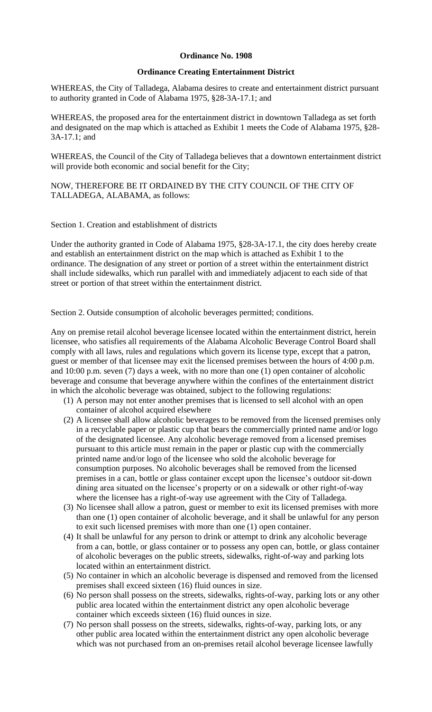## **Ordinance No. 1908**

## **Ordinance Creating Entertainment District**

WHEREAS, the City of Talladega, Alabama desires to create and entertainment district pursuant to authority granted in Code of Alabama 1975, §28-3A-17.1; and

WHEREAS, the proposed area for the entertainment district in downtown Talladega as set forth and designated on the map which is attached as Exhibit 1 meets the Code of Alabama 1975, §28- 3A-17.1; and

WHEREAS, the Council of the City of Talladega believes that a downtown entertainment district will provide both economic and social benefit for the City;

NOW, THEREFORE BE IT ORDAINED BY THE CITY COUNCIL OF THE CITY OF TALLADEGA, ALABAMA, as follows:

## Section 1. Creation and establishment of districts

Under the authority granted in Code of Alabama 1975, §28-3A-17.1, the city does hereby create and establish an entertainment district on the map which is attached as Exhibit 1 to the ordinance. The designation of any street or portion of a street within the entertainment district shall include sidewalks, which run parallel with and immediately adjacent to each side of that street or portion of that street within the entertainment district.

Section 2. Outside consumption of alcoholic beverages permitted; conditions.

Any on premise retail alcohol beverage licensee located within the entertainment district, herein licensee, who satisfies all requirements of the Alabama Alcoholic Beverage Control Board shall comply with all laws, rules and regulations which govern its license type, except that a patron, guest or member of that licensee may exit the licensed premises between the hours of 4:00 p.m. and 10:00 p.m. seven (7) days a week, with no more than one (1) open container of alcoholic beverage and consume that beverage anywhere within the confines of the entertainment district in which the alcoholic beverage was obtained, subject to the following regulations:

- (1) A person may not enter another premises that is licensed to sell alcohol with an open container of alcohol acquired elsewhere
- (2) A licensee shall allow alcoholic beverages to be removed from the licensed premises only in a recyclable paper or plastic cup that bears the commercially printed name and/or logo of the designated licensee. Any alcoholic beverage removed from a licensed premises pursuant to this article must remain in the paper or plastic cup with the commercially printed name and/or logo of the licensee who sold the alcoholic beverage for consumption purposes. No alcoholic beverages shall be removed from the licensed premises in a can, bottle or glass container except upon the licensee's outdoor sit-down dining area situated on the licensee's property or on a sidewalk or other right-of-way where the licensee has a right-of-way use agreement with the City of Talladega.
- (3) No licensee shall allow a patron, guest or member to exit its licensed premises with more than one (1) open container of alcoholic beverage, and it shall be unlawful for any person to exit such licensed premises with more than one (1) open container.
- (4) It shall be unlawful for any person to drink or attempt to drink any alcoholic beverage from a can, bottle, or glass container or to possess any open can, bottle, or glass container of alcoholic beverages on the public streets, sidewalks, right-of-way and parking lots located within an entertainment district.
- (5) No container in which an alcoholic beverage is dispensed and removed from the licensed premises shall exceed sixteen (16) fluid ounces in size.
- (6) No person shall possess on the streets, sidewalks, rights-of-way, parking lots or any other public area located within the entertainment district any open alcoholic beverage container which exceeds sixteen (16) fluid ounces in size.
- (7) No person shall possess on the streets, sidewalks, rights-of-way, parking lots, or any other public area located within the entertainment district any open alcoholic beverage which was not purchased from an on-premises retail alcohol beverage licensee lawfully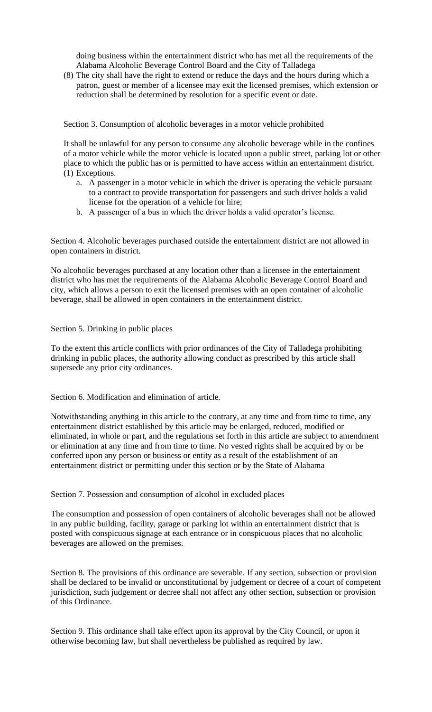doing business within the entertainment district who has met all the requirements of the Alabama Alcoholic Beverage Control Board and the City of Talladega

(8) The city shall have the right to extend or reduce the days and the hours during which a patron, guest or member of a licensee may exit the licensed premises, which extension or reduction shall be determined by resolution for a specific event or date.

Section 3. Consumption of alcoholic beverages in a motor vehicle prohibited

It shall be unlawful for any person to consume any alcoholic beverage while in the confines of a motor vehicle while the motor vehicle is located upon a public street, parking lot or other place to which the public has or is permitted to have access within an entertainment district. (1) Exceptions.

- a. A passenger in a motor vehicle in which the driver is operating the vehicle pursuant to a contract to provide transportation for passengers and such driver holds a valid license for the operation of a vehicle for hire;
- b. A passenger of a bus in which the driver holds a valid operator's license.

Section 4. Alcoholic beverages purchased outside the entertainment district are not allowed in open containers in district.

No alcoholic beverages purchased at any location other than a licensee in the entertainment district who has met the requirements of the Alabama Alcoholic Beverage Control Board and city, which allows a person to exit the licensed premises with an open container of alcoholic beverage, shall be allowed in open containers in the entertainment district.

Section 5. Drinking in public places

To the extent this article conflicts with prior ordinances of the City of Talladega prohibiting drinking in public places, the authority allowing conduct as prescribed by this article shall supersede any prior city ordinances.

Section 6. Modification and elimination of article.

Notwithstanding anything in this article to the contrary, at any time and from time to time, any entertainment district established by this article may be enlarged, reduced, modified or eliminated, in whole or part, and the regulations set forth in this article are subject to amendment or elimination at any time and from time to time. No vested rights shall be acquired by or be conferred upon any person or business or entity as a result of the establishment of an entertainment district or permitting under this section or by the State of Alabama

Section 7. Possession and consumption of alcohol in excluded places

The consumption and possession of open containers of alcoholic beverages shall not be allowed in any public building, facility, garage or parking lot within an entertainment district that is posted with conspicuous signage at each entrance or in conspicuous places that no alcoholic beverages are allowed on the premises.

Section 8. The provisions of this ordinance are severable. If any section, subsection or provision shall be declared to be invalid or unconstitutional by judgement or decree of a court of competent jurisdiction, such judgement or decree shall not affect any other section, subsection or provision of this Ordinance.

Section 9. This ordinance shall take effect upon its approval by the City Council, or upon it otherwise becoming law, but shall nevertheless be published as required by law.